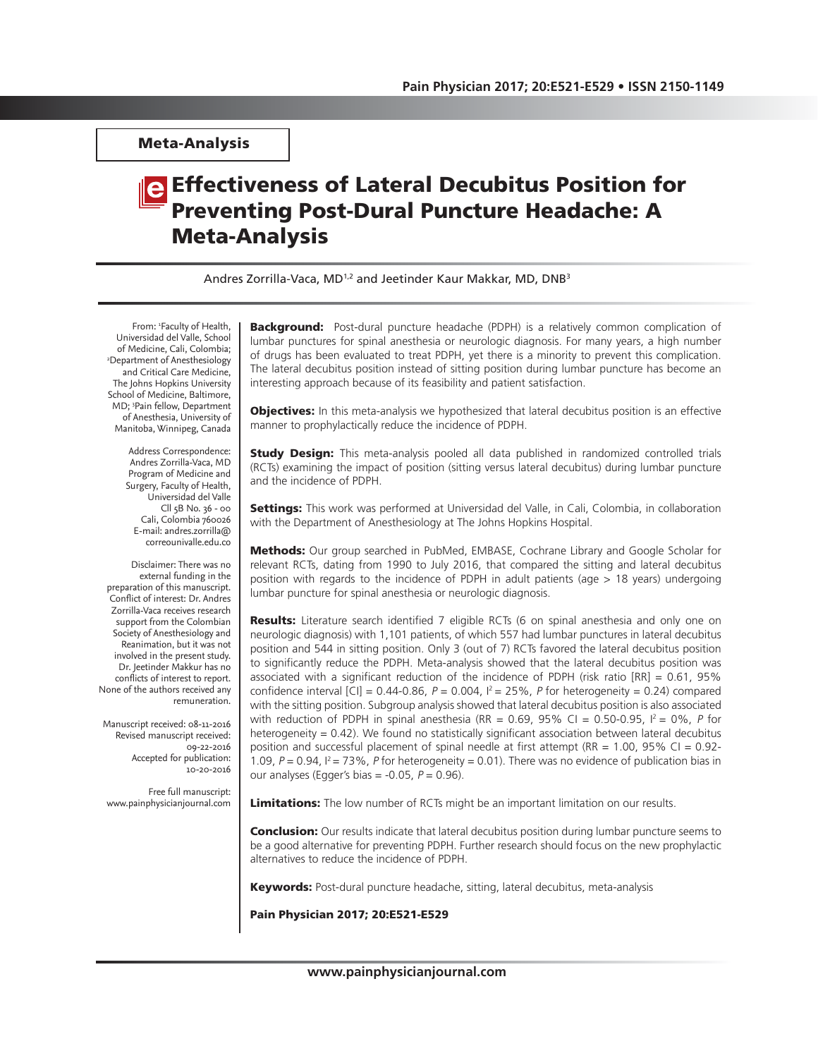Meta-Analysis

# **e** Effectiveness of Lateral Decubitus Position for Preventing Post-Dural Puncture Headache: A Meta-Analysis

Andres Zorrilla-Vaca, MD<sup>1,2</sup> and Jeetinder Kaur Makkar, MD, DNB<sup>3</sup>

From: 1 Faculty of Health, Universidad del Valle, School<br>of Medicine, Cali, Colombia; of Medicine, Cali, Colombia; 2 Department of Anesthesiology and Critical Care Medicine, The Johns Hopkins University School of Medicine, Baltimore, MD; 3 Pain fellow, Department of Anesthesia, University of Manitoba, Winnipeg, Canada

> Address Correspondence: Andres Zorrilla-Vaca, MD Program of Medicine and Surgery, Faculty of Health, Universidad del Valle Cll 5B No. 36 - 00 Cali, Colombia 760026 E-mail: andres.zorrilla@ correounivalle.edu.co

Disclaimer: There was no external funding in the preparation of this manuscript. Conflict of interest: Dr. Andres Zorrilla-Vaca receives research support from the Colombian Society of Anesthesiology and Reanimation, but it was not involved in the present study. Dr. Jeetinder Makkur has no conflicts of interest to report. None of the authors received any remuneration.

Manuscript received: 08-11-2016 Revised manuscript received: 09-22-2016 Accepted for publication: .<br>10-20-2016

Free full manuscript: www.painphysicianjournal.com **Background:** Post-dural puncture headache (PDPH) is a relatively common complication of lumbar punctures for spinal anesthesia or neurologic diagnosis. For many years, a high number of drugs has been evaluated to treat PDPH, yet there is a minority to prevent this complication. The lateral decubitus position instead of sitting position during lumbar puncture has become an interesting approach because of its feasibility and patient satisfaction.

Objectives: In this meta-analysis we hypothesized that lateral decubitus position is an effective manner to prophylactically reduce the incidence of PDPH.

**Study Design:** This meta-analysis pooled all data published in randomized controlled trials (RCTs) examining the impact of position (sitting versus lateral decubitus) during lumbar puncture and the incidence of PDPH.

Settings: This work was performed at Universidad del Valle, in Cali, Colombia, in collaboration with the Department of Anesthesiology at The Johns Hopkins Hospital.

Methods: Our group searched in PubMed, EMBASE, Cochrane Library and Google Scholar for relevant RCTs, dating from 1990 to July 2016, that compared the sitting and lateral decubitus position with regards to the incidence of PDPH in adult patients (age > 18 years) undergoing lumbar puncture for spinal anesthesia or neurologic diagnosis.

**Results:** Literature search identified 7 eligible RCTs (6 on spinal anesthesia and only one on neurologic diagnosis) with 1,101 patients, of which 557 had lumbar punctures in lateral decubitus position and 544 in sitting position. Only 3 (out of 7) RCTs favored the lateral decubitus position to significantly reduce the PDPH. Meta-analysis showed that the lateral decubitus position was associated with a significant reduction of the incidence of PDPH (risk ratio [RR] = 0.61, 95% confidence interval  $[C] = 0.44$ -0.86,  $P = 0.004$ ,  $I^2 = 25\%$ , P for heterogeneity = 0.24) compared with the sitting position. Subgroup analysis showed that lateral decubitus position is also associated with reduction of PDPH in spinal anesthesia (RR = 0.69, 95% CI = 0.50-0.95,  $I^2 = 0\%$ , P for heterogeneity = 0.42). We found no statistically significant association between lateral decubitus position and successful placement of spinal needle at first attempt (RR =  $1.00$ ,  $95\%$  CI =  $0.92$ -1.09,  $P = 0.94$ ,  $I^2 = 73\%$ , P for heterogeneity = 0.01). There was no evidence of publication bias in our analyses (Egger's bias =  $-0.05$ ,  $P = 0.96$ ).

**Limitations:** The low number of RCTs might be an important limitation on our results.

**Conclusion:** Our results indicate that lateral decubitus position during lumbar puncture seems to be a good alternative for preventing PDPH. Further research should focus on the new prophylactic alternatives to reduce the incidence of PDPH.

Keywords: Post-dural puncture headache, sitting, lateral decubitus, meta-analysis

Pain Physician 2017; 20:E521-E529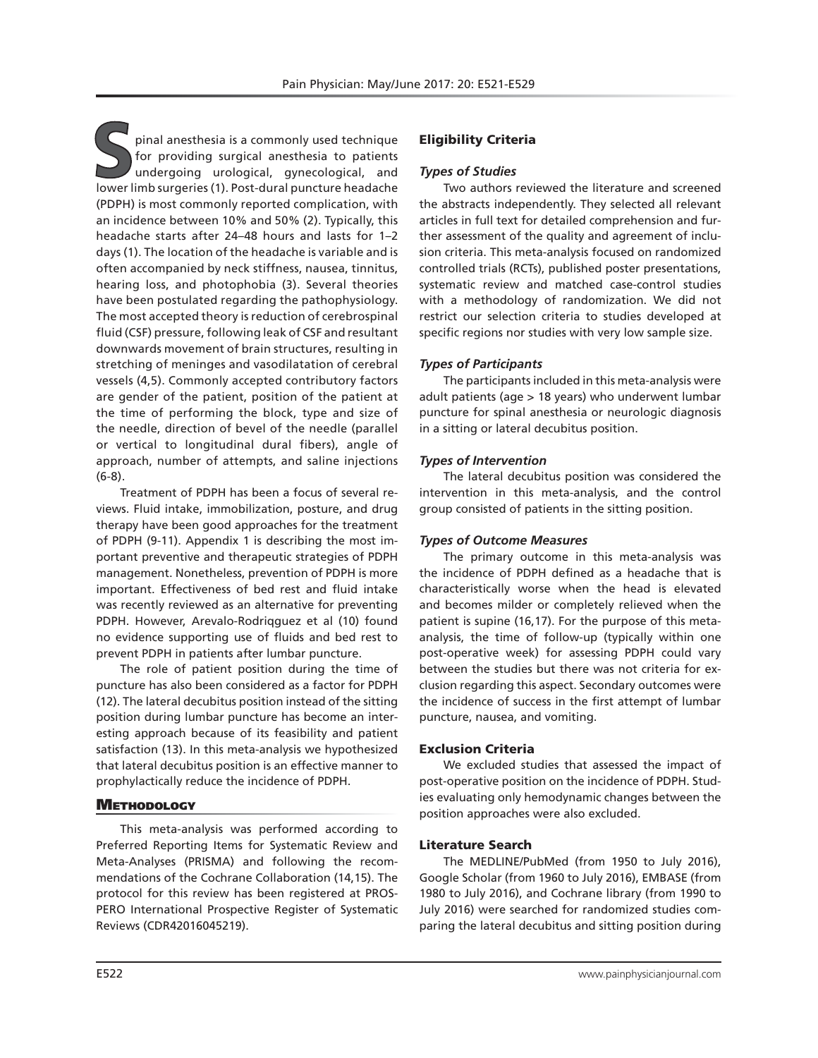**S**pinal anesthesia is a commonly used technique for providing surgical anesthesia to patients undergoing urological, gynecological, and lower limb surgeries (1). Post-dural puncture headache (PDPH) is most commonly reported complication, with an incidence between 10% and 50% (2). Typically, this headache starts after 24–48 hours and lasts for 1–2 days (1). The location of the headache is variable and is often accompanied by neck stiffness, nausea, tinnitus, hearing loss, and photophobia (3). Several theories have been postulated regarding the pathophysiology. The most accepted theory is reduction of cerebrospinal fluid (CSF) pressure, following leak of CSF and resultant downwards movement of brain structures, resulting in stretching of meninges and vasodilatation of cerebral vessels (4,5). Commonly accepted contributory factors are gender of the patient, position of the patient at the time of performing the block, type and size of the needle, direction of bevel of the needle (parallel or vertical to longitudinal dural fibers), angle of approach, number of attempts, and saline injections (6-8).

Treatment of PDPH has been a focus of several reviews. Fluid intake, immobilization, posture, and drug therapy have been good approaches for the treatment of PDPH (9-11). Appendix 1 is describing the most important preventive and therapeutic strategies of PDPH management. Nonetheless, prevention of PDPH is more important. Effectiveness of bed rest and fluid intake was recently reviewed as an alternative for preventing PDPH. However, Arevalo-Rodriqguez et al (10) found no evidence supporting use of fluids and bed rest to prevent PDPH in patients after lumbar puncture.

The role of patient position during the time of puncture has also been considered as a factor for PDPH (12). The lateral decubitus position instead of the sitting position during lumbar puncture has become an interesting approach because of its feasibility and patient satisfaction (13). In this meta-analysis we hypothesized that lateral decubitus position is an effective manner to prophylactically reduce the incidence of PDPH.

## **METHODOLOGY**

This meta-analysis was performed according to Preferred Reporting Items for Systematic Review and Meta-Analyses (PRISMA) and following the recommendations of the Cochrane Collaboration (14,15). The protocol for this review has been registered at PROS-PERO International Prospective Register of Systematic Reviews (CDR42016045219).

# Eligibility Criteria

## *Types of Studies*

Two authors reviewed the literature and screened the abstracts independently. They selected all relevant articles in full text for detailed comprehension and further assessment of the quality and agreement of inclusion criteria. This meta-analysis focused on randomized controlled trials (RCTs), published poster presentations, systematic review and matched case-control studies with a methodology of randomization. We did not restrict our selection criteria to studies developed at specific regions nor studies with very low sample size.

## *Types of Participants*

The participants included in this meta-analysis were adult patients (age > 18 years) who underwent lumbar puncture for spinal anesthesia or neurologic diagnosis in a sitting or lateral decubitus position.

## *Types of Intervention*

The lateral decubitus position was considered the intervention in this meta-analysis, and the control group consisted of patients in the sitting position.

## *Types of Outcome Measures*

The primary outcome in this meta-analysis was the incidence of PDPH defined as a headache that is characteristically worse when the head is elevated and becomes milder or completely relieved when the patient is supine (16,17). For the purpose of this metaanalysis, the time of follow-up (typically within one post-operative week) for assessing PDPH could vary between the studies but there was not criteria for exclusion regarding this aspect. Secondary outcomes were the incidence of success in the first attempt of lumbar puncture, nausea, and vomiting.

## Exclusion Criteria

We excluded studies that assessed the impact of post-operative position on the incidence of PDPH. Studies evaluating only hemodynamic changes between the position approaches were also excluded.

## Literature Search

The MEDLINE/PubMed (from 1950 to July 2016), Google Scholar (from 1960 to July 2016), EMBASE (from 1980 to July 2016), and Cochrane library (from 1990 to July 2016) were searched for randomized studies comparing the lateral decubitus and sitting position during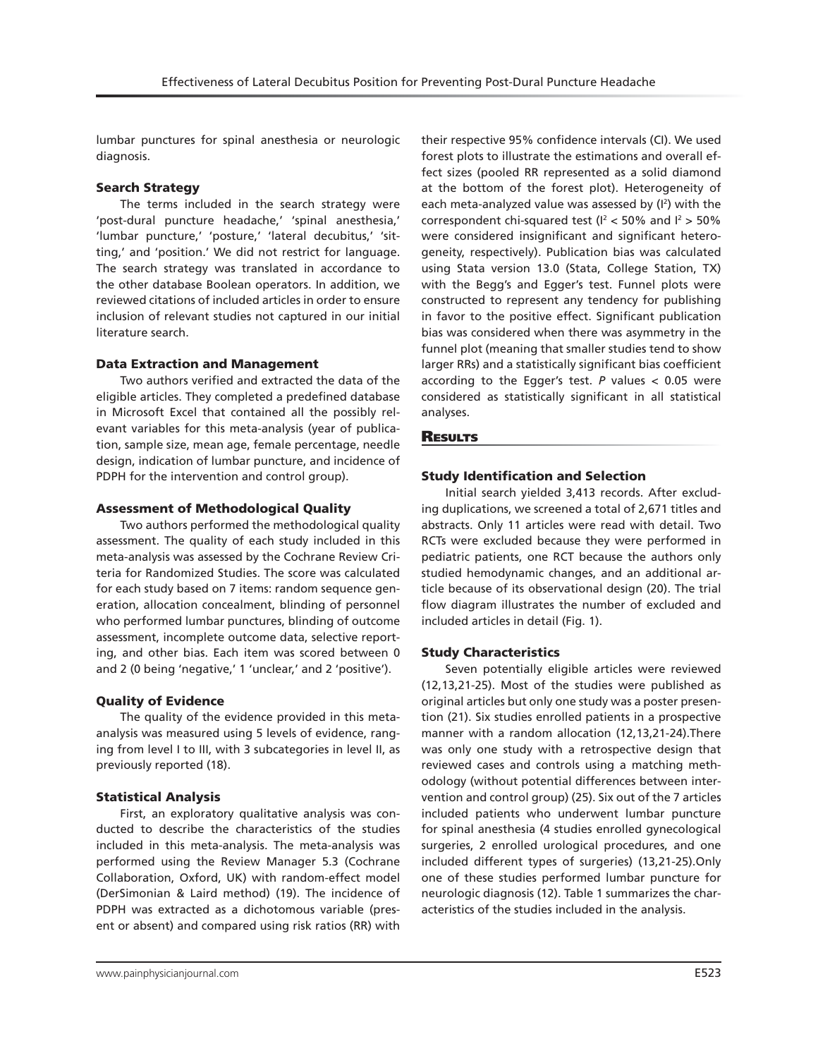lumbar punctures for spinal anesthesia or neurologic diagnosis.

## Search Strategy

The terms included in the search strategy were 'post-dural puncture headache,' 'spinal anesthesia,' 'lumbar puncture,' 'posture,' 'lateral decubitus,' 'sitting,' and 'position.' We did not restrict for language. The search strategy was translated in accordance to the other database Boolean operators. In addition, we reviewed citations of included articles in order to ensure inclusion of relevant studies not captured in our initial literature search.

## Data Extraction and Management

Two authors verified and extracted the data of the eligible articles. They completed a predefined database in Microsoft Excel that contained all the possibly relevant variables for this meta-analysis (year of publication, sample size, mean age, female percentage, needle design, indication of lumbar puncture, and incidence of PDPH for the intervention and control group).

## Assessment of Methodological Quality

Two authors performed the methodological quality assessment. The quality of each study included in this meta-analysis was assessed by the Cochrane Review Criteria for Randomized Studies. The score was calculated for each study based on 7 items: random sequence generation, allocation concealment, blinding of personnel who performed lumbar punctures, blinding of outcome assessment, incomplete outcome data, selective reporting, and other bias. Each item was scored between 0 and 2 (0 being 'negative,' 1 'unclear,' and 2 'positive').

## Quality of Evidence

The quality of the evidence provided in this metaanalysis was measured using 5 levels of evidence, ranging from level I to III, with 3 subcategories in level II, as previously reported (18).

## Statistical Analysis

First, an exploratory qualitative analysis was conducted to describe the characteristics of the studies included in this meta-analysis. The meta-analysis was performed using the Review Manager 5.3 (Cochrane Collaboration, Oxford, UK) with random-effect model (DerSimonian & Laird method) (19). The incidence of PDPH was extracted as a dichotomous variable (present or absent) and compared using risk ratios (RR) with

their respective 95% confidence intervals (CI). We used forest plots to illustrate the estimations and overall effect sizes (pooled RR represented as a solid diamond at the bottom of the forest plot). Heterogeneity of each meta-analyzed value was assessed by (I<sup>2</sup>) with the correspondent chi-squared test ( $I<sup>2</sup> < 50\%$  and  $I<sup>2</sup> > 50\%$ were considered insignificant and significant heterogeneity, respectively). Publication bias was calculated using Stata version 13.0 (Stata, College Station, TX) with the Begg's and Egger's test. Funnel plots were constructed to represent any tendency for publishing in favor to the positive effect. Significant publication bias was considered when there was asymmetry in the funnel plot (meaning that smaller studies tend to show larger RRs) and a statistically significant bias coefficient according to the Egger's test. *P* values < 0.05 were considered as statistically significant in all statistical analyses.

# **RESULTS**

# Study Identification and Selection

Initial search yielded 3,413 records. After excluding duplications, we screened a total of 2,671 titles and abstracts. Only 11 articles were read with detail. Two RCTs were excluded because they were performed in pediatric patients, one RCT because the authors only studied hemodynamic changes, and an additional article because of its observational design (20). The trial flow diagram illustrates the number of excluded and included articles in detail (Fig. 1).

## Study Characteristics

Seven potentially eligible articles were reviewed (12,13,21-25). Most of the studies were published as original articles but only one study was a poster presention (21). Six studies enrolled patients in a prospective manner with a random allocation (12,13,21-24).There was only one study with a retrospective design that reviewed cases and controls using a matching methodology (without potential differences between intervention and control group) (25). Six out of the 7 articles included patients who underwent lumbar puncture for spinal anesthesia (4 studies enrolled gynecological surgeries, 2 enrolled urological procedures, and one included different types of surgeries) (13,21-25).Only one of these studies performed lumbar puncture for neurologic diagnosis (12). Table 1 summarizes the characteristics of the studies included in the analysis.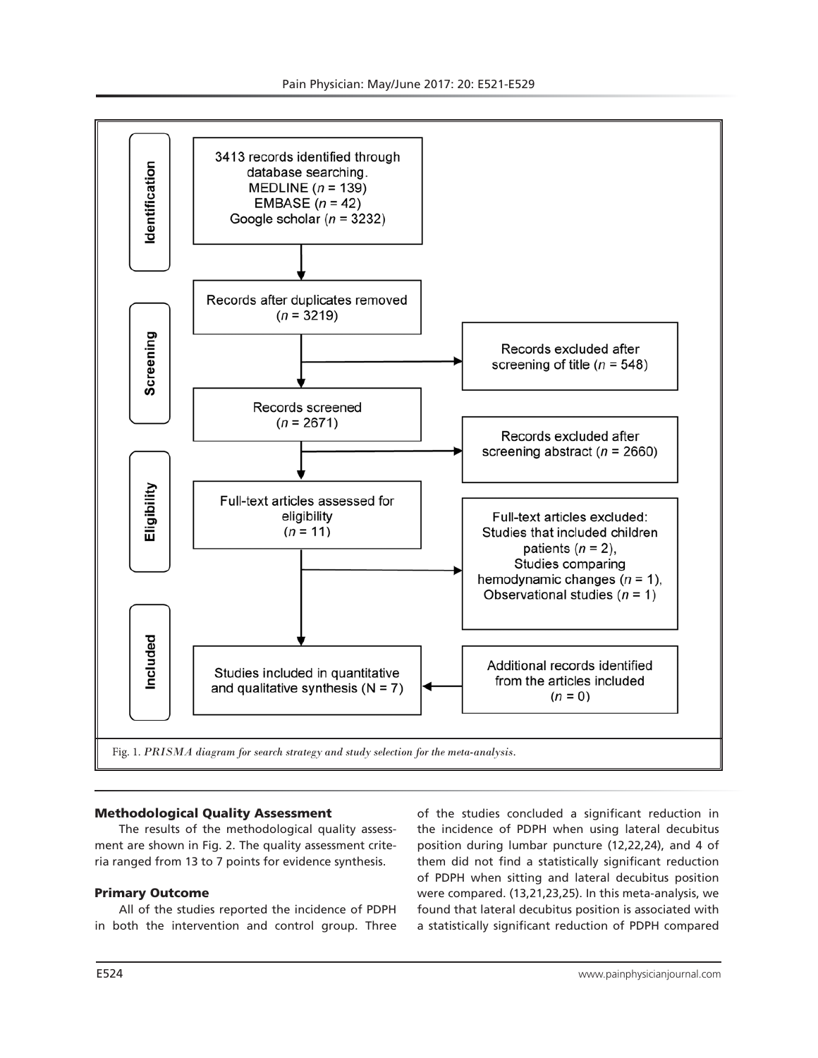

#### Methodological Quality Assessment

The results of the methodological quality assessment are shown in Fig. 2. The quality assessment criteria ranged from 13 to 7 points for evidence synthesis.

#### Primary Outcome

All of the studies reported the incidence of PDPH in both the intervention and control group. Three

of the studies concluded a significant reduction in the incidence of PDPH when using lateral decubitus position during lumbar puncture (12,22,24), and 4 of them did not find a statistically significant reduction of PDPH when sitting and lateral decubitus position were compared. (13,21,23,25). In this meta-analysis, we found that lateral decubitus position is associated with a statistically significant reduction of PDPH compared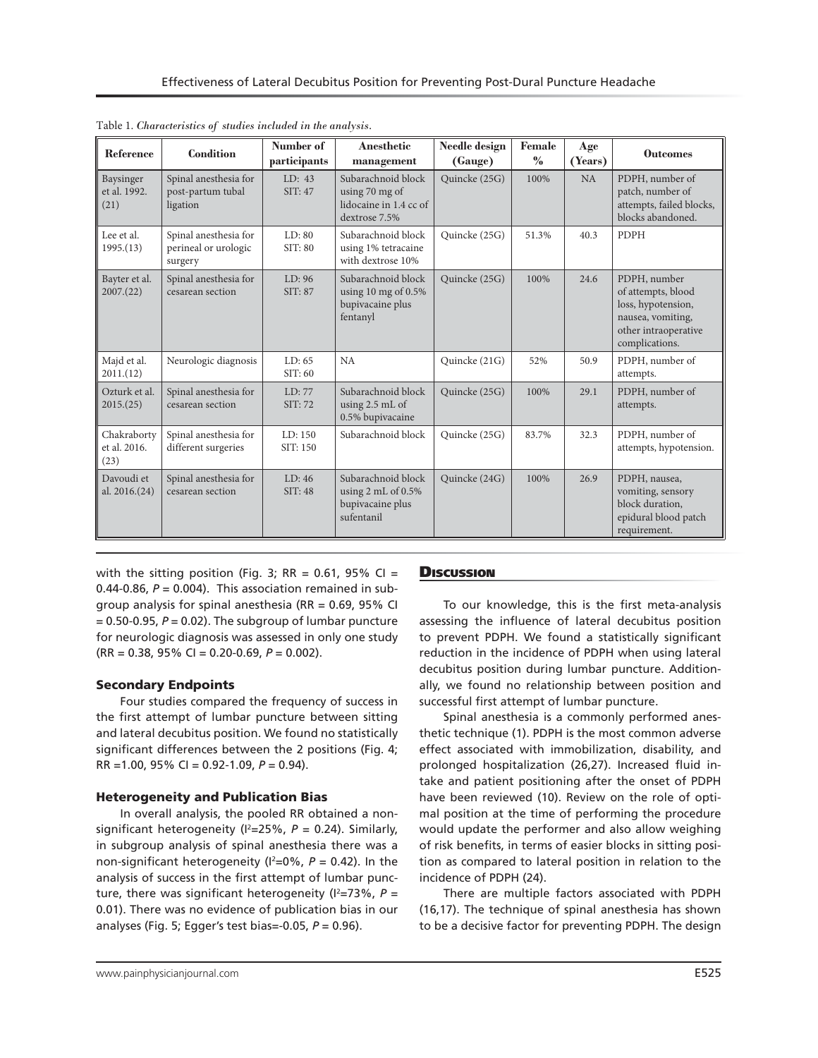| Reference                           | <b>Condition</b>                                         | Number of<br>participants | Anesthetic<br>management                                                               | Needle design<br>(Gauge) | Female<br>$\%$ | Age<br>(Years) | <b>Outcomes</b>                                                                                                         |
|-------------------------------------|----------------------------------------------------------|---------------------------|----------------------------------------------------------------------------------------|--------------------------|----------------|----------------|-------------------------------------------------------------------------------------------------------------------------|
| Baysinger<br>et al. 1992.<br>(21)   | Spinal anesthesia for<br>post-partum tubal<br>ligation   | LD: 43<br>SIT: 47         | Subarachnoid block<br>using 70 mg of<br>lidocaine in 1.4 cc of<br>dextrose 7.5%        | Quincke (25G)            | 100%           | NA             | PDPH, number of<br>patch, number of<br>attempts, failed blocks,<br>blocks abandoned.                                    |
| Lee et al.<br>1995.(13)             | Spinal anesthesia for<br>perineal or urologic<br>surgery | LD: 80<br>SIT: 80         | Subarachnoid block<br>using 1% tetracaine<br>with dextrose 10%                         | Quincke (25G)            | 51.3%          | 40.3           | <b>PDPH</b>                                                                                                             |
| Bayter et al.<br>2007(22)           | Spinal anesthesia for<br>cesarean section                | LD:96<br>SIT: 87          | Subarachnoid block<br>using 10 mg of $0.5\%$<br>bupivacaine plus<br>fentanyl           | Quincke (25G)            | 100%           | 24.6           | PDPH, number<br>of attempts, blood<br>loss, hypotension,<br>nausea, vomiting,<br>other intraoperative<br>complications. |
| Majd et al.<br>2011.(12)            | Neurologic diagnosis                                     | LD: 65<br>SIT:60          | NA                                                                                     | Quincke (21G)            | 52%            | 50.9           | PDPH, number of<br>attempts.                                                                                            |
| Ozturk et al.<br>2015(25)           | Spinal anesthesia for<br>cesarean section                | LD: 77<br>SIT: 72         | Subarachnoid block<br>using 2.5 mL of<br>0.5% bupivacaine                              | Quincke (25G)            | 100%           | 29.1           | PDPH, number of<br>attempts.                                                                                            |
| Chakraborty<br>et al. 2016.<br>(23) | Spinal anesthesia for<br>different surgeries             | LD: 150<br>SIT: 150       | Subarachnoid block                                                                     | Quincke (25G)            | 83.7%          | 32.3           | PDPH, number of<br>attempts, hypotension.                                                                               |
| Davoudi et<br>al. 2016.(24)         | Spinal anesthesia for<br>cesarean section                | LD: 46<br>SIT: 48         | Subarachnoid block<br>using $2 \text{ mL of } 0.5\%$<br>bupivacaine plus<br>sufentanil | Quincke (24G)            | 100%           | 26.9           | PDPH, nausea,<br>vomiting, sensory<br>block duration,<br>epidural blood patch<br>requirement.                           |

| Table 1. Characteristics of studies included in the analysis. |  |  |  |  |  |  |  |
|---------------------------------------------------------------|--|--|--|--|--|--|--|
|---------------------------------------------------------------|--|--|--|--|--|--|--|

with the sitting position (Fig. 3; RR = 0.61, 95% CI = 0.44-0.86,  $P = 0.004$ ). This association remained in subgroup analysis for spinal anesthesia (RR =  $0.69$ , 95% CI  $= 0.50 - 0.95$ ,  $P = 0.02$ ). The subgroup of lumbar puncture for neurologic diagnosis was assessed in only one study (RR = 0.38, 95% CI = 0.20-0.69, *P* = 0.002).

## Secondary Endpoints

Four studies compared the frequency of success in the first attempt of lumbar puncture between sitting and lateral decubitus position. We found no statistically significant differences between the 2 positions (Fig. 4; RR =1.00, 95% CI = 0.92-1.09, *P* = 0.94).

## Heterogeneity and Publication Bias

In overall analysis, the pooled RR obtained a nonsignificant heterogeneity (I2 =25%, *P* = 0.24). Similarly, in subgroup analysis of spinal anesthesia there was a non-significant heterogeneity ( $l^2$ =0%,  $P$  = 0.42). In the analysis of success in the first attempt of lumbar puncture, there was significant heterogeneity ( $I^2 = 73\%$ ,  $P =$ 0.01). There was no evidence of publication bias in our analyses (Fig. 5; Egger's test bias=-0.05, *P* = 0.96).

## **Discussion**

To our knowledge, this is the first meta-analysis assessing the influence of lateral decubitus position to prevent PDPH. We found a statistically significant reduction in the incidence of PDPH when using lateral decubitus position during lumbar puncture. Additionally, we found no relationship between position and successful first attempt of lumbar puncture.

Spinal anesthesia is a commonly performed anesthetic technique (1). PDPH is the most common adverse effect associated with immobilization, disability, and prolonged hospitalization (26,27). Increased fluid intake and patient positioning after the onset of PDPH have been reviewed (10). Review on the role of optimal position at the time of performing the procedure would update the performer and also allow weighing of risk benefits, in terms of easier blocks in sitting position as compared to lateral position in relation to the incidence of PDPH (24).

There are multiple factors associated with PDPH (16,17). The technique of spinal anesthesia has shown to be a decisive factor for preventing PDPH. The design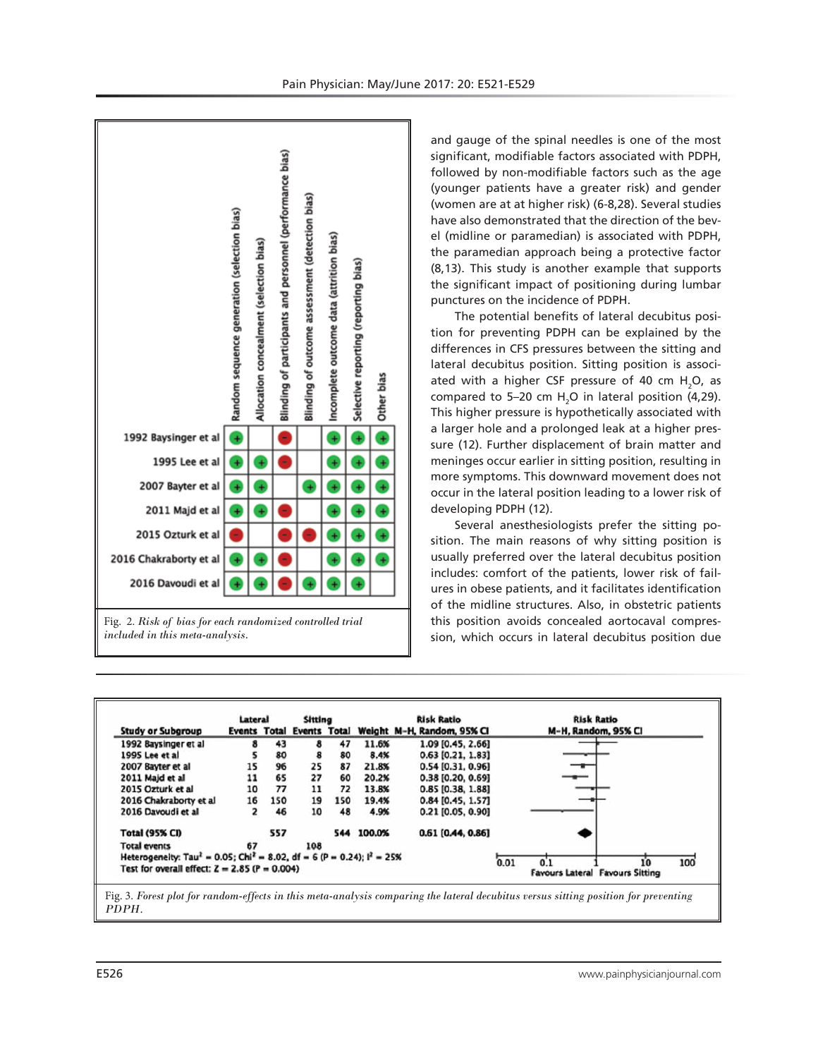



and gauge of the spinal needles is one of the most significant, modifiable factors associated with PDPH, followed by non-modifiable factors such as the age (younger patients have a greater risk) and gender (women are at at higher risk) (6-8,28). Several studies have also demonstrated that the direction of the bevel (midline or paramedian) is associated with PDPH, the paramedian approach being a protective factor (8,13). This study is another example that supports the significant impact of positioning during lumbar punctures on the incidence of PDPH.

The potential benefits of lateral decubitus position for preventing PDPH can be explained by the differences in CFS pressures between the sitting and lateral decubitus position. Sitting position is associated with a higher CSF pressure of 40 cm  $H_2$ O, as compared to 5–20 cm  $H<sub>2</sub>O$  in lateral position (4,29). This higher pressure is hypothetically associated with a larger hole and a prolonged leak at a higher pressure (12). Further displacement of brain matter and meninges occur earlier in sitting position, resulting in more symptoms. This downward movement does not occur in the lateral position leading to a lower risk of developing PDPH (12).

Several anesthesiologists prefer the sitting position. The main reasons of why sitting position is usually preferred over the lateral decubitus position includes: comfort of the patients, lower risk of failures in obese patients, and it facilitates identification of the midline structures. Also, in obstetric patients this position avoids concealed aortocaval compression, which occurs in lateral decubitus position due

|                                                                                                 | Lateral |     | <b>Sitting</b> |     |        | <b>Risk Ratio</b>                                    | <b>Risk Ratio</b>                                    |  |  |  |
|-------------------------------------------------------------------------------------------------|---------|-----|----------------|-----|--------|------------------------------------------------------|------------------------------------------------------|--|--|--|
| <b>Study or Subgroup</b>                                                                        |         |     |                |     |        | Events Total Events Total Weight M-H, Random, 95% CI | M-H, Random, 95% CI                                  |  |  |  |
| 1992 Baysinger et al                                                                            |         | 43  | 8              | 47  | 11.6%  | 1.09 [0.45, 2.66]                                    |                                                      |  |  |  |
| 1995 Lee et al                                                                                  |         | 80  | 8              | 80  | 8.4%   | 0.63 [0.21, 1.83]                                    |                                                      |  |  |  |
| 2007 Bayter et al                                                                               | 15      | 96  | 25             | 87  | 21.8%  | $0.54$ [0.31, 0.96]                                  |                                                      |  |  |  |
| 2011 Majd et al                                                                                 | 11      | 65  | 27             | 60  | 20.2%  | 0.38 [0.20, 0.69]                                    |                                                      |  |  |  |
| 2015 Ozturk et al                                                                               | 10      | 77  | 11             | 72  | 13.8%  | 0.85 [0.38, 1.88]                                    |                                                      |  |  |  |
| 2016 Chakraborty et al                                                                          | 16      | 150 | 19             | 150 | 19.4%  | $0.84$ [0.45, 1.57]                                  |                                                      |  |  |  |
| 2016 Davoudi et al                                                                              | 2       | 46  | 10             | 48  | 4.9%   | 0.21 [0.05, 0.90]                                    |                                                      |  |  |  |
| <b>Total (95% CI)</b>                                                                           |         | 557 |                | 544 | 100.0% | 0.61 [0.44, 0.86]                                    |                                                      |  |  |  |
| <b>Total events</b>                                                                             | 67      |     | 108            |     |        |                                                      |                                                      |  |  |  |
| Heterogeneity: Tau <sup>2</sup> = 0.05; Chi <sup>2</sup> = 8.02, df = 6 (P = 0.24); $I^2$ = 25% |         |     |                |     |        |                                                      |                                                      |  |  |  |
| Test for overall effect: $Z = 2.85$ (P = 0.004)                                                 |         |     |                |     |        |                                                      | 0.01<br>100<br>10<br>Favours Lateral Favours Sitting |  |  |  |

*PDPH.*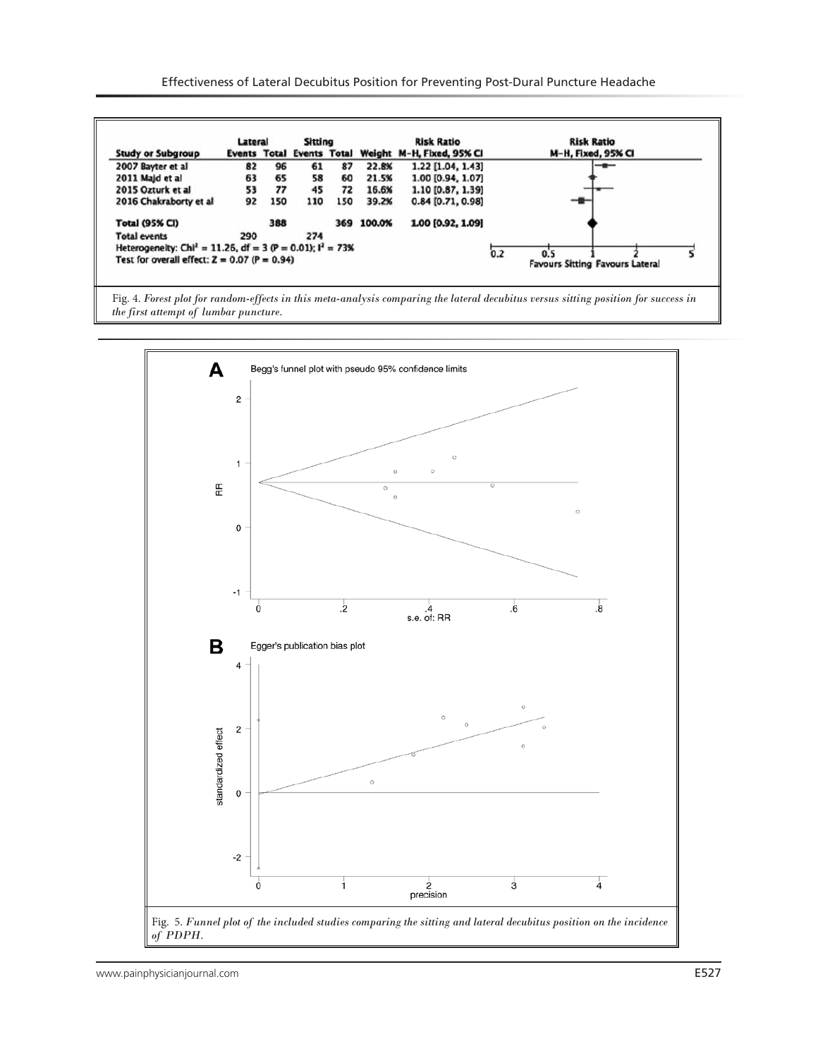|                                                                          | Lateral |     | Sitting |     |                                                     | <b>Risk Ratio</b>   | <b>Risk Ratio</b>                                    |  |  |
|--------------------------------------------------------------------------|---------|-----|---------|-----|-----------------------------------------------------|---------------------|------------------------------------------------------|--|--|
| <b>Study or Subgroup</b>                                                 |         |     |         |     | Events Total Events Total Weight M-H, Fixed, 95% CI |                     | M-H, Fixed, 95% CI                                   |  |  |
| 2007 Bayter et al                                                        | 82      | 96  | 61      | 87  | 22.8%                                               | 1.22 [1.04, 1.43]   | $-$                                                  |  |  |
| 2011 Majd et al                                                          | 63      | 65  | 58      | 60  | 21.5%                                               | 1.00 [0.94, 1.07]   |                                                      |  |  |
| 2015 Ozturk et al                                                        | 53      | 77  | 45      | 72  | 16.6%                                               | 1.10 [0.87, 1.39]   |                                                      |  |  |
| 2016 Chakraborty et al                                                   | 92      | 150 | 110     | 150 | 39.2%                                               | $0.84$ [0.71, 0.98] |                                                      |  |  |
| <b>Total (95% CI)</b>                                                    |         | 388 |         |     | 369 100.0%                                          | 1.00 [0.92, 1.09]   |                                                      |  |  |
| <b>Total events</b>                                                      | 290     |     | 274     |     |                                                     |                     |                                                      |  |  |
| Heterogeneity: Chi <sup>2</sup> = 11.26, df = 3 (P = 0.01); $I^2 = 73\%$ |         |     |         |     |                                                     |                     |                                                      |  |  |
| Test for overall effect: $Z = 0.07$ (P = 0.94)                           |         |     |         |     |                                                     |                     | 0.2<br>0.5<br><b>Favours Sitting Favours Lateral</b> |  |  |

Fig. 4. *Forest plot for random-effects in this meta-analysis comparing the lateral decubitus versus sitting position for success in the first attempt of lumbar puncture.*

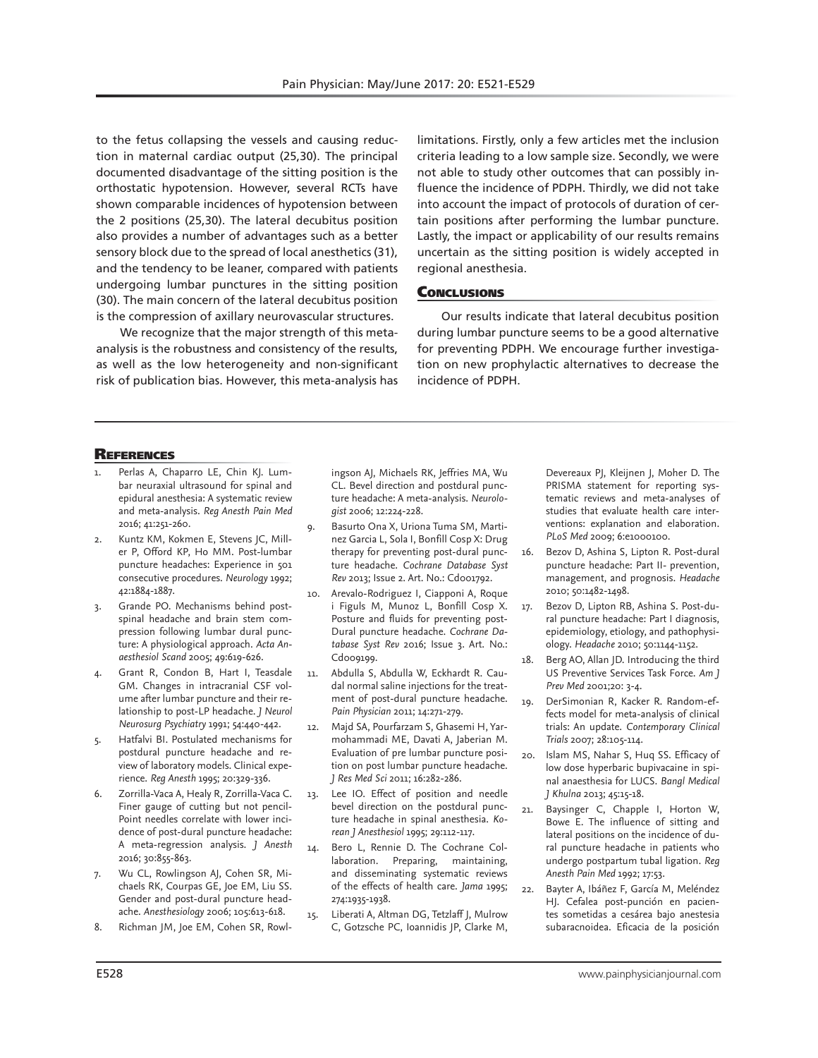to the fetus collapsing the vessels and causing reduction in maternal cardiac output (25,30). The principal documented disadvantage of the sitting position is the orthostatic hypotension. However, several RCTs have shown comparable incidences of hypotension between the 2 positions (25,30). The lateral decubitus position also provides a number of advantages such as a better sensory block due to the spread of local anesthetics (31), and the tendency to be leaner, compared with patients undergoing lumbar punctures in the sitting position (30). The main concern of the lateral decubitus position is the compression of axillary neurovascular structures.

We recognize that the major strength of this metaanalysis is the robustness and consistency of the results, as well as the low heterogeneity and non-significant risk of publication bias. However, this meta-analysis has limitations. Firstly, only a few articles met the inclusion criteria leading to a low sample size. Secondly, we were not able to study other outcomes that can possibly influence the incidence of PDPH. Thirdly, we did not take into account the impact of protocols of duration of certain positions after performing the lumbar puncture. Lastly, the impact or applicability of our results remains uncertain as the sitting position is widely accepted in regional anesthesia.

## **CONCLUSIONS**

Our results indicate that lateral decubitus position during lumbar puncture seems to be a good alternative for preventing PDPH. We encourage further investigation on new prophylactic alternatives to decrease the incidence of PDPH.

#### **REFERENCES**

- Perlas A, Chaparro LE, Chin KJ. Lumbar neuraxial ultrasound for spinal and epidural anesthesia: A systematic review and meta-analysis. *Reg Anesth Pain Med* 2016; 41:251-260.
- 2. Kuntz KM, Kokmen E, Stevens JC, Miller P, Offord KP, Ho MM. Post-lumbar puncture headaches: Experience in 501 consecutive procedures. *Neurology* 1992; 42:1884-1887.
- 3. Grande PO. Mechanisms behind postspinal headache and brain stem compression following lumbar dural puncture: A physiological approach. *Acta Anaesthesiol Scand* 2005; 49:619-626.
- 4. Grant R, Condon B, Hart I, Teasdale GM. Changes in intracranial CSF volume after lumbar puncture and their relationship to post-LP headache. *J Neurol Neurosurg Psychiatry* 1991; 54:440-442.
- 5. Hatfalvi BI. Postulated mechanisms for postdural puncture headache and review of laboratory models. Clinical experience. *Reg Anesth* 1995; 20:329-336.
- 6. Zorrilla-Vaca A, Healy R, Zorrilla-Vaca C. Finer gauge of cutting but not pencil-Point needles correlate with lower incidence of post-dural puncture headache: A meta-regression analysis. *J Anesth* 2016; 30:855-863.
- 7. Wu CL, Rowlingson AJ, Cohen SR, Michaels RK, Courpas GE, Joe EM, Liu SS. Gender and post-dural puncture headache. *Anesthesiology* 2006; 105:613-618.
- Richman JM, Joe EM, Cohen SR, Rowl-

ingson AJ, Michaels RK, Jeffries MA, Wu CL. Bevel direction and postdural puncture headache: A meta-analysis. *Neurologist* 2006; 12:224-228.

- 9. Basurto Ona X, Uriona Tuma SM, Martinez Garcia L, Sola I, Bonfill Cosp X: Drug therapy for preventing post-dural puncture headache. *Cochrane Database Syst Rev* 2013; Issue 2. Art. No.: Cd001792.
- 10. Arevalo-Rodriguez I, Ciapponi A, Roque i Figuls M, Munoz L, Bonfill Cosp X. Posture and fluids for preventing post-Dural puncture headache. *Cochrane Database Syst Rev* 2016; Issue 3. Art. No.: Cd009199.
- 11. Abdulla S, Abdulla W, Eckhardt R. Caudal normal saline injections for the treatment of post-dural puncture headache. *Pain Physician* 2011; 14:271-279.
- 12. Majd SA, Pourfarzam S, Ghasemi H, Yarmohammadi ME, Davati A, Jaberian M. Evaluation of pre lumbar puncture position on post lumbar puncture headache. *J Res Med Sci* 2011; 16:282-286.
- 13. Lee IO. Effect of position and needle bevel direction on the postdural puncture headache in spinal anesthesia. *Korean J Anesthesiol* 1995; 29:112-117.
- 14. Bero L, Rennie D. The Cochrane Collaboration. Preparing, maintaining, and disseminating systematic reviews of the effects of health care. *Jama* 1995; 274:1935-1938.
- 15. Liberati A, Altman DG, Tetzlaff J, Mulrow C, Gotzsche PC, Ioannidis JP, Clarke M,

Devereaux PJ, Kleijnen J, Moher D. The PRISMA statement for reporting systematic reviews and meta-analyses of studies that evaluate health care interventions: explanation and elaboration. *PLoS Med* 2009; 6:e1000100.

- 16. Bezov D, Ashina S, Lipton R. Post-dural puncture headache: Part II- prevention, management, and prognosis. *Headache* 2010; 50:1482-1498.
- 17. Bezov D, Lipton RB, Ashina S. Post-dural puncture headache: Part I diagnosis, epidemiology, etiology, and pathophysiology. *Headache* 2010; 50:1144-1152.
- 18. Berg AO, Allan JD. Introducing the third US Preventive Services Task Force. *Am J Prev Med* 2001;20: 3-4.
- 19. DerSimonian R, Kacker R. Random-effects model for meta-analysis of clinical trials: An update. *Contemporary Clinical Trials* 2007; 28:105-114.
- 20. Islam MS, Nahar S, Huq SS. Efficacy of low dose hyperbaric bupivacaine in spinal anaesthesia for LUCS. *Bangl Medical J Khulna* 2013; 45:15-18.
- 21. Baysinger C, Chapple I, Horton W, Bowe E. The influence of sitting and lateral positions on the incidence of dural puncture headache in patients who undergo postpartum tubal ligation. *Reg Anesth Pain Med* 1992; 17:53.
- 22. Bayter A, Ibáñez F, García M, Meléndez HJ. Cefalea post-punción en pacientes sometidas a cesárea bajo anestesia subaracnoidea. Eficacia de la posición